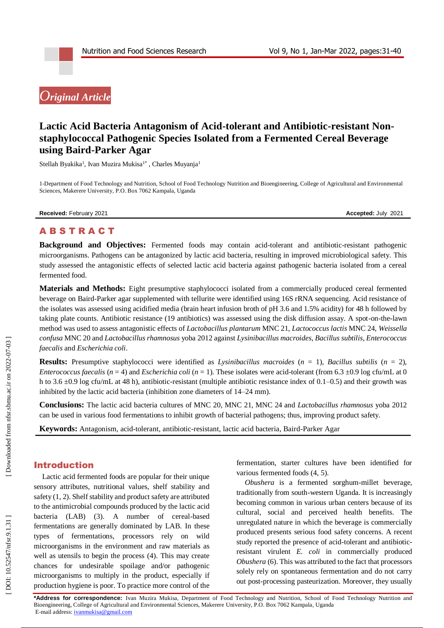# *Original Article*

# Lactic Acid Bacteria Antagonism of Acid-tolerant and Antibiotic-resistant Non**staphylococcal Pathogenic Species Isolated from a Fermented Cereal Beverage using Baird -Parker Agar**

Stellah Byakika<sup>1</sup>, Ivan Muzira Mukisa<sup>1\*</sup>, Charles Muyanja<sup>1</sup>

1 -Department of Food Technology and Nutrition, School of Food Technology Nutrition and Bioengineering, College of Agricultural and Environmental Sciences, Makerere University, P.O. Box 7062 Kampala, Uganda

**Received:** February 2021 **Accepted:** July 2021

# A B S T R A C T

Background and Objectives: Fermented foods may contain acid-tolerant and antibiotic-resistant pathogenic microorganisms. Pathogens can be antagonized by lactic acid bacteria, resulting in improved microbiological safety. This study assessed the antagonistic effects of selected lactic acid bacteria against pathogenic bacteria isolated from a cereal fermented food.

**Materials and Methods:** Eight presumptive staphylococci isolated from a commercially produced cereal fermented beverage on Baird -Parker agar supplemented with tellurite were identified using 16S rRNA sequencing. Acid resistance of the isolates was assessed using acidified media (brain heart infusion broth of pH 3.6 and 1.5% acidity) for 48 h followed by taking plate counts. Antibiotic resistance (19 antibiotics) was assessed using the disk diffusion assay. A spot -on -the -lawn method was used to assess antagonistic effects of *Lactobacillus plantarum* MNC 21, *Lactococcus lactis* MNC 24, *Weissella confusa* MNC 20 and *Lactobacillus rhamnosus* yoba 2012 against *Lysinibacillus macroides*, *Bacillus subtilis*, *Enterococcus faecalis* and *Escherichia coli* .

**Results:** Presumptive staphylococci were identified as *Lysinibacillus macroides*  $(n = 1)$ , *Bacillus subtilis*  $(n = 2)$ , *Enterococcus faecalis* ( $n = 4$ ) and *Escherichia coli* ( $n = 1$ ). These isolates were acid-tolerant (from 6.3 ±0.9 log cfu/mL at 0 h to 3.6  $\pm$ 0.9 log cfu/mL at 48 h), antibiotic-resistant (multiple antibiotic resistance index of 0.1–0.5) and their growth was inhibited by the lactic acid bacteria (inhibition zone diameters of 14 –24 mm).

**Conclusions:** The lactic acid bacteria cultures of MNC 20, MNC 21, MNC 24 and *Lactobacillus rhamnosus* yoba 2012 can be used in various food fermentations to inhibit growth of bacterial pathogens; thus, improving product safety.

Keywords: Antagonism, acid-tolerant, antibiotic-resistant, lactic acid bacteria, Baird-Parker Agar

# Introduction

Lactic acid fermented foods are popular for their unique sensory attributes, nutritional values, shelf stability and safety (1, 2). Shelf stability and product safety are attributed to the antimicrobial compounds produced by the lactic acid bacteria (LAB) (3). A number of cereal -based fermentations are generally dominated by LAB. In these type s of fermentation s, processors rely on wild microorganisms in the environment and raw materials as well as utensils to begin the process (4). This may create chances for undesirable spoilage and/or pathogenic microorganisms to multiply in the product, especially if production hygiene is poor. To practice more control of the

fermentation, starter cultures have been identified for various fermented foods (4, 5).

*Obushera* is a fermented sorghum -millet beverage, traditionally from south -western Uganda. It is increasingly becoming common in various urban centers because of its cultural, social and perceived health benefits. The unregulated nature in which the beverage is commercially produced presents serious food safety concerns. A recent study reported the presence of acid -tolerant and antibiotic resistant virulent *E. coli* in commercially produced *Obushera* (6). This was attributed to the fact that processors solely rely on spontaneous fermentation and do not carry out post -processing pasteurization. Moreover, they usually

**\*Address for correspondence:** Ivan Muzira Mukisa, Department of Food Technology and Nutrition, School of Food Technology Nutrition and Bioengineering, College of Agricultural and Environmental Sciences, Makerere University, P.O. Box 7062 Kampala, Uganda E-mail address[: ivanmukisa@gmail.com](mailto:ivanmukisa@gmail.com)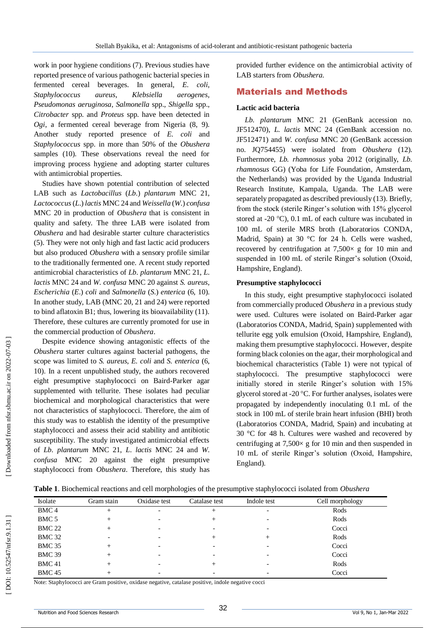work in poor hygiene conditions (7). Previous studies have reported presence of various pathogenic bacterial species in fermented cereal beverages. In general, *E. coli*, *Staphylococcus aureus*, *Klebsiella aerogenes*, *Pseudomonas aeruginosa*, *Salmonella* spp., *Shigella* spp., *Citrobacter* spp. and *Proteus* spp. have been detected in *Ogi*, a fermented cereal beverage from Nigeria (8, 9). Another study reported presence of *E. coli* and *Staphylococcus* spp. in more than 50% of the *Obushera* samples (10). These observations reveal the need for improving process hygiene and adopting starter cultures with antimicrobial properties.

Studies have shown potential contribution of selected LAB such as *Lactobacillus* (*Lb*.) *plantarum* MNC 21, *Lactococcus* ( *L*.) *lactis* MNC 24 and *Weissella* ( *W*.) *confusa* MNC 20 in production of *Obushera* that is consistent in quality and safety. The three LAB were isolated from *Obushera* and had desirable starter culture characteristics (5). They were not only high and fast lactic acid producers but also produced *Obushera* with a sensory profile similar to the traditionally fermented one. A recent study reported antimicrobial characteristics of *Lb*. *plantarum* MNC 21, *L*. *lactis* MNC 24 and *W*. *confusa* MNC 20 against *S. aureus*, *Escherichia* ( *E*.) *coli* and *Salmonella* ( *S*.) *enterica* (6, 10). In another study, LAB (MNC 20, 21 and 24) were reported to bind aflatoxin B1; thus, lowering its bioavailability (11). Therefore, these cultures are currently promoted for use in the commercial production of *Obushera*.

Despite evidence showing antagonistic effects of the *Obushera* starter cultures against bacterial pathogens, the scope was limited to *S. aureus*, *E. coli* and *S. enterica* (6, 10). In a recent unpublished study, the authors recovered eight presumptive staphylococci on Baird -Parker agar supplemented with tellurite. These isolates had peculiar biochemical and morphological characteristics that were not characteristics of staphylococci. Therefore, the aim of this study was to establish the identity of the presumptive staphylococci and assess their acid stability and antibiotic susceptibility. The study investigated antimicrobial effects of *Lb*. *plantarum* MNC 21, *L*. *lactis* MNC 24 and *W*. *confusa* MNC 20 against the eight presumptive staphylococci from *Obushera*. Therefore, this study has

provided further evidence on the antimicrobial activity of LAB starters from *Obushera.*

# Material s and Methods

#### **Lactic acid bacteria**

*Lb. plantarum* MNC 21 (GenBank accession no. JF512470), *L. lactis* MNC 24 (GenBank accession no. JF512471) and *W. confusa* MNC 20 (GenBank accession no. JQ754455) were isolated from *Obushera* (12). Furthermore, *Lb. rhamnosus* yoba 2012 (originally, *Lb. rhamnosus* GG) (Yoba for Life Foundation, Amsterdam, the Netherlands) was provided by the Uganda Industrial Research Institute, Kampala, Uganda. The LAB were separately propagated as described previously (13). Briefly, from the stock (sterile Ringer's solution with 15% glycerol stored at -20 °C), 0.1 mL of each culture was incubated in 100 mL of sterile MRS broth (Laboratorios CONDA, Madrid, Spain) at 30 °C for 24 h. Cells were washed, recovered by centrifugation at  $7,500 \times$  g for 10 min and suspended in 100 mL of sterile Ringer's solution (Oxoid, Hampshire, England).

#### **Presumptive staphylococci**

In this study, eight presumptive staphylococci isolated from commercially produced *Obushera* in a previous study were used. Cultures were isolated on Baird -Parker agar (Laboratorios CONDA, Madrid, Spain) supplemented with tellurite egg yolk emulsion (Oxoid, Hampshire, England), making them presumptive staphylococci. However, despite forming black colonies on the agar, their morphological and biochemical characteristics (Table 1) were not typical of staphylococci. The presumptive staphylococci were initially stored in sterile Ringer's solution with 15% glycerol stored at -20 C. For further analyses, isolates were propagated by independently inoculating 0.1 mL of the stock in 100 mL of sterile brain heart infusion (BHI) broth (Laboratorios CONDA, Madrid, Spain) and incubating at 30 °C for 48 h. Cultures were washed and recovered by centrifuging at  $7,500 \times$  g for 10 min and then suspended in 10 mL of sterile Ringer's solution (Oxoid, Hampshire, England).

| Isolate          | Gram stain      | Oxidase test             | Catalase test | Indole test              | Cell morphology |
|------------------|-----------------|--------------------------|---------------|--------------------------|-----------------|
| BMC <sub>4</sub> | $^+$            |                          | $^{+}$        | $\overline{\phantom{a}}$ | Rods            |
| BMC 5            | $^+$            |                          | $^+$          |                          | Rods            |
| <b>BMC 22</b>    | +               |                          |               |                          | Cocci           |
| <b>BMC 32</b>    | $\qquad \qquad$ | $\overline{\phantom{a}}$ | $^+$          | $^+$                     | Rods            |
| <b>BMC 35</b>    | $\pm$           | $\overline{\phantom{0}}$ |               |                          | Cocci           |
| <b>BMC 39</b>    | +               | $\overline{\phantom{0}}$ |               |                          | Cocci           |
| <b>BMC41</b>     |                 | $\overline{\phantom{a}}$ |               |                          | Rods            |
| <b>BMC 45</b>    | $\pm$           | $\overline{\phantom{0}}$ |               |                          | Cocci           |

Note: Staphylococci are Gram positive, oxidase negative, catalase positive, indole negative cocci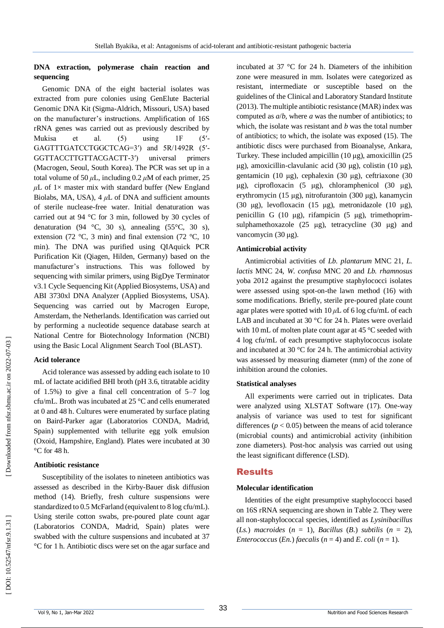## **DNA extraction, polymerase chain reaction and sequencing**

Genomic DNA of the eight bacterial isolates was extracted from pure colonies using GenElute Bacterial Genomic DNA Kit (Sigma -Aldrich, Missouri, USA) based on the manufacturer's instructions. Amplification of 16S rRNA genes was carried out as previously described by Mukisa et al. (5) using 1F  $(5'$ GAGTTTGATCCTGGCTCAG=3') and 5R/1492R (5'-GGTTACCTTGTTACGACTT universal primers (Macrogen, Seoul, South Korea). The PCR was set up in a total volume of 50  $\mu$ L, including 0.2  $\mu$ M of each primer, 25  $\mu$ L of 1× master mix with standard buffer (New England Biolabs, MA, USA),  $4 \mu L$  of DNA and sufficient amounts of sterile nuclease -free water. Initial denaturation was carried out at 94 °C for 3 min, followed by 30 cycles of denaturation (94 °C, 30 s), annealing (55 °C, 30 s), extension (72 °C, 3 min) and final extension (72 °C, 10 min). The DNA was purified using QIAquick PCR Purification Kit (Qiagen, Hilden, Germany) based on the manufacturer's instructions. This was followed by sequencing with similar primers, using BigDye Terminator v3.1 Cycle Sequencing Kit (Applied Biosystems, USA) and ABI 3730xl DNA Analyzer (Applied Biosystems, USA). Sequencing was carried out by Macrogen Europe, Amsterdam, the Netherlands. Identification was carried out by performing a nucleotide sequence database search at National Centre for Biotechnology Information (NCBI) using the Basic Local Alignment Search Tool (BLAST).

#### **Acid tolerance**

Acid tolerance was assessed by adding each isolate to 10 mL of lactate acidified BHI broth (pH 3.6, titratable acidity of 1.5%) to give a final cell concentration of 5 –7 log cfu/mL. Broth was incubated at 25 °C and cells enumerated at 0 and 48 h. Cultures were enumerated by surface plating on Baird -Parker agar (Laboratorios CONDA, Madrid, Spain) supplemented with tellurite egg yolk emulsion (Oxoid, Hampshire, England). Plates were incubated at 30 °C for 48 h.

## **Antibiotic resistance**

Susceptibility of the isolates to nineteen antibiotics was assessed as described in the Kirby -Bauer disk diffusion method (14). Briefly, fresh culture suspensions were standardized to 0.5 McFarland (equivalent to 8 log cfu/mL). Using sterile cotton swabs, pre -poured plate count agar (Laboratorios CONDA, Madrid, Spain) plates were swabbed with the culture suspensions and incubated at 37 °C for 1 h. Antibiotic discs were set on the agar surface and

incubated at 37 °C for 24 h. Diameters of the inhibition zone were measured in mm. Isolates were categorized as resistant, intermediate or susceptible based on the guidelines of the Clinical and Laboratory Standard Institute (2013). The multiple antibiotic resistance (MAR) index was computed as *a* / *b*, where *a* was the number of antibiotics; to which, the isolate was resistant and *b* was the total number of antibiotics; to which, the isolate was exposed (15). The antibiotic discs were purchased from Bioanalyse, Ankara, Turkey. These included ampicillin (10 μg), amoxicillin (25 μg), amoxicillin -clavulanic acid (30 μg), colistin (10 μg), gentamicin (10 μg), cephalexin (30 μg), ceftriaxone (30 μg), ciprofloxacin (5 μg), chloramphenicol (30 μg), erythromycin (15 μg), nitrofurantoin (300 μg), kanamycin (30 μg), levofloxacin (15 μg), metronidazole (10 μ g), penicillin G (10 μg), rifampicin (5 μg), trimethoprim sulphamethoxazole (25 μg), tetracycline (30 μg) and vancomycin (30 μg).

## **Antimicrobial activity**

Antimicrobial activities of *Lb. plantarum* MNC 21, *L. lactis* MNC 24, *W. confusa* MNC 20 and *Lb. rhamnosus*  yoba 2012 against the presumptive staphylococci isolates were assessed using spot -on -the lawn method (16) with some modifications. Briefly, sterile pre -poured plate count agar plates were spotted with 10 *μ*L of 6 log cfu/mL of each LAB and incubated at 30 °C for 24 h. Plates were overlaid with 10 mL of molten plate count agar at 45 °C seeded with 4 log cfu/mL of each presumptive staphylococcus isolate and incubated at 30 °C for 24 h. The antimicrobial activity was assessed by measuring diameter (mm) of the zone of inhibition around the colonies.

## **Statistical analyses**

All experiments were carried out in triplicates. Data were analyzed using XLSTAT Software (17). One -way analysis of variance was used to test for significant differences  $(p < 0.05)$  between the means of acid tolerance (microbial counts) and antimicrobial activity (inhibition zone diameters). Post -hoc analysis was carried out using the least significant difference (LSD).

## Results

#### **Molecular identification**

Identities of the eight presumptive staphylococci based on 16S rRNA sequencing are shown in Table 2. They were all non -staphylococcal species, identified as *Lysinibacillus*   $(Ls.)$  *macroides*  $(n = 1)$ , *Bacillus*  $(B.)$  *subtilis*  $(n = 2)$ , *Enterococcus* (*En.*) *faecalis* ( $n = 4$ ) and *E. coli* ( $n = 1$ ).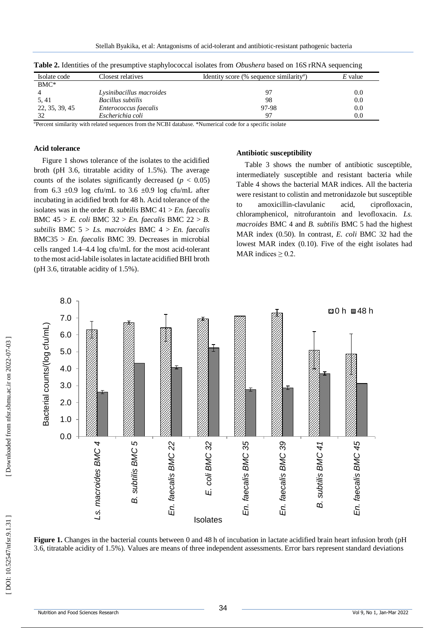|                |                          |                                                             | ີ         |
|----------------|--------------------------|-------------------------------------------------------------|-----------|
| Isolate code   | Closest relatives        | Identity score (% sequence similarity <sup><i>a</i></sup> ) | $E$ value |
| $BMC^*$        |                          |                                                             |           |
|                | Lysinibacillus macroides | 97                                                          | $0.0\,$   |
| 5, 41          | Bacillus subtilis        | 98                                                          | 0.0       |
| 22, 35, 39, 45 | Enterococcus faecalis    | 97-98                                                       | $0.0\,$   |
| 32             | Escherichia coli         | 97                                                          | $0.0\,$   |

**Table 2.** Identities of the presumptive staphylococcal isolates from *Obushera* based on 16S rRNA sequencing

*a*Percent similarity with related sequences from the NCBI database. \*Numerical code for a specific isolate

#### **Acid tolerance**

Figure 1 shows tolerance of the isolates to the acidified broth (pH 3.6, titratable acidity of 1.5%). The average counts of the isolates significantly decreased  $(p < 0.05)$ from 6.3  $\pm$ 0.9 log cfu/mL to 3.6  $\pm$ 0.9 log cfu/mL after incubating in acidified broth for 48 h. Acid tolerance of the isolates was in the order *B*. *subtilis* BMC 41 > *En. faecalis*  BMC 45 > *E. coli* BMC 32 > *En. faecalis* BMC 22 > *B. subtilis* BMC 5 > *Ls. macroides* BMC 4 > *En. faecalis*  BMC35 > *En. faecalis* BMC 39. Decreases in microbial cells ranged 1.4 –4.4 log cfu/mL for the most acid -tolerant to the most acid -labile isolates in lactate acidified BHI broth (pH 3.6, titratable acidity of 1.5%) .

#### **Antibiotic susceptibility**

Table 3 shows the number of antibiotic susceptible, intermediately susceptible and resistant bacteria while Table 4 shows the bacterial MAR indices. All the bacteria were resistant to colistin and metronidazole but susceptible to amoxicillin acid, ciprofloxacin, chloramphenicol, nitrofurantoin and levofloxacin. *Ls. macroides* BMC 4 and *B. subtilis* BMC 5 had the highest MAR index (0.50). In contrast, *E. coli* BMC 32 had the lowest MAR index (0.10). Five of the eight isolates had MAR indices  $\geq 0.2$ .



**Figure 1.** Changes in the bacterial counts between 0 and 48 h of incubation in lactate acidified brain heart infusion broth (pH 3.6, titratable acidity of 1.5%). Values are means of three independent assessments. Error bars represent standard deviations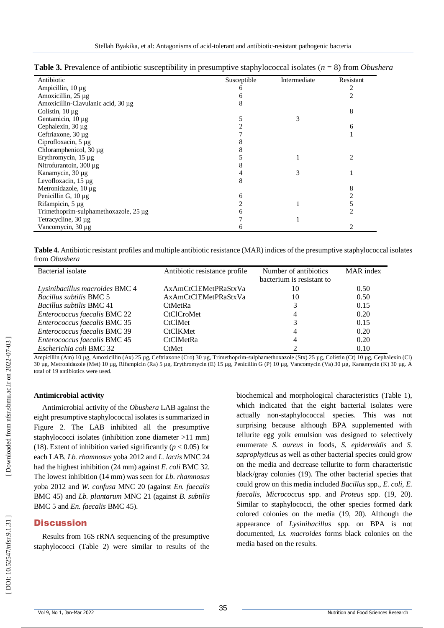| <b>Table 3.</b> Prevalence of antibiotic susceptibility in presumptive staphylococcal isolates ( $n = 8$ ) from <i>Obushera</i> |  |  |  |
|---------------------------------------------------------------------------------------------------------------------------------|--|--|--|
|---------------------------------------------------------------------------------------------------------------------------------|--|--|--|

| Antibiotic                            | Susceptible | Intermediate | Resistant |
|---------------------------------------|-------------|--------------|-----------|
| Ampicillin, $10 \mu g$                | 6           |              |           |
| Amoxicillin, 25 µg                    |             |              |           |
| Amoxicillin-Clavulanic acid, 30 µg    | 8           |              |           |
| Colistin, $10 \mu$ g                  |             |              | 8         |
| Gentamicin, 10 µg                     |             |              |           |
| Cephalexin, $30 \mu$ g                |             |              | 6         |
| Ceftriaxone, 30 µg                    |             |              |           |
| Ciprofloxacin, 5 µg                   |             |              |           |
| Chloramphenicol, 30 µg                |             |              |           |
| Erythromycin, 15 µg                   |             |              |           |
| Nitrofurantoin, $300 \mu$ g           |             |              |           |
| Kanamycin, 30 µg                      |             |              |           |
| Levofloxacin, 15 µg                   | 8           |              |           |
| Metronidazole, 10 µg                  |             |              |           |
| Penicillin G, $10 \mu$ g              | 6           |              |           |
| Rifampicin, 5 µg                      |             |              |           |
| Trimethoprim-sulphamethoxazole, 25 µg |             |              |           |
| Tetracycline, 30 μg                   |             |              |           |
| Vancomycin, 30 µg                     |             |              |           |

**Table 4.** Antibiotic resistant profiles and multiple antibiotic resistance (MAR) indices of the presumptive staphylococcal isolates from *Obushera*

| Bacterial isolate               | Antibiotic resistance profile | Number of antibiotics     | <b>MAR</b> index |
|---------------------------------|-------------------------------|---------------------------|------------------|
|                                 |                               | bacterium is resistant to |                  |
| Lysinibacillus macroides BMC 4  | AxAmCtClEMetPRaStxVa          | 10                        | 0.50             |
| Bacillus subtilis BMC 5         | AxAmCtClEMetPRaStxVa          | 10                        | 0.50             |
| <i>Bacillus subtilis BMC 41</i> | <b>CtMetRa</b>                |                           | 0.15             |
| Enterococcus faecalis BMC 22    | <b>CtClCroMet</b>             |                           | 0.20             |
| Enterococcus faecalis BMC 35    | <b>CtClMet</b>                |                           | 0.15             |
| Enterococcus faecalis BMC 39    | <b>CtClKMet</b>               |                           | 0.20             |
| Enterococcus faecalis BMC 45    | <b>CtClMetRa</b>              |                           | 0.20             |
| Escherichia coli BMC 32         | CtMet                         |                           | 0.10             |

Ampicillin (Am) 10 µg, Amoxicillin (Ax) 25 µg, Ceftriaxone (Cro) 30 µg, Trimethoprim-sulphamethoxazole (Stx) 25 µg, Colistin (Ct) 10 µg, Cephalexin (Cl) 30 µg, Metronidazole (Met) 10 µg, Rifampicin (Ra) 5 µg, Erythromycin (E) 15 µg, Penicillin G (P) 10 µg, Vancomycin (Va) 30 µg, Kanamycin (K) 30 µg. A total of 19 antibiotics were used.

## **Antimicrobial activity**

Antimicrobial activity of the *Obushera* LAB against the eight presumptive staphylococcal isolates is summarized in Figure 2. The LAB inhibited all the presumptive staphylococci isolates (inhibition zone diameter >11 mm) (18). Extent of inhibition varied significantly ( $p < 0.05$ ) for each LAB. *Lb. rhamnosus* yoba 2012 and *L. lactis* MNC 24 had the highest inhibition (24 mm) against *E. coli* BMC 32. The lowest inhibition (14 mm) was seen for *Lb. rhamnosus*  yoba 2012 and *W. confusa* MNC 20 (against *En. faecalis* BMC 45) and *Lb. plantarum* MNC 21 (against *B. subtilis* BMC 5 and *En. faecalis* BMC 45).

# **Discussion**

Results from 16S rRNA sequencing of the presumptive staphylococci (Table 2) were similar to results of the

biochemical and morphological characteristics (Table 1), which indicated that the eight bacterial isolates were actually non -staphylococcal species. This was not surprising because although BPA supplemented with tellurite egg yolk emulsion was designed to selectively enumerate *S. aureus* in foods, *S. epidermidis* and *S. saprophyticus* as well as other bacterial species could grow on the media and decrease tellurite to form characteristic black/gray colonies (19). The other bacterial species that could grow on this media included *Bacillus* spp., *E. coli, E. faecalis, Micrococcus* spp. and *Proteus* spp. (19, 20). Similar to staphylococci, the other species formed dark colored colonies on the media (19, 20). Although the appearance of *Lysinibacillus* spp. on BPA is not documented, *Ls. macroides* forms black colonies on the media based on the results.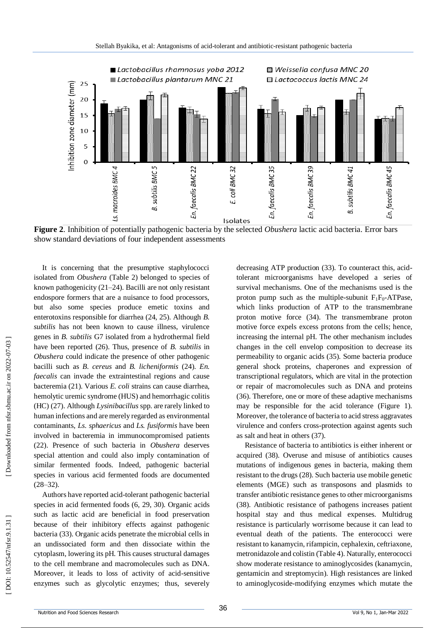

**Figure 2**. Inhibition of potentially pathogenic bacteria by the selected *Obushera* lactic acid bacteria. Error bars show standard deviations of four independent assessment s

It is concerning that the presumptive staphylococci isolated from *Obushera* (Table 2) belonged to species of known pathogenicity (21 – 24). Bacilli are not only resistant endospore formers that are a nuisance to food processors, but also some species produce emetic toxins and enterotoxins responsible for diarrhea (24, 25). Although *B. subtilis* has not been known to cause illness, virulence genes in *B. subtilis* G7 isolated from a hydrothermal field have been reported (26). Thus, presence of *B. subtilis* in *Obushera* could indicate the presence of other pathogenic bacilli such as *B. cereus* and *B. licheniformis* (24). *En. faecalis* can invade the extraintestinal regions and cause bacteremia (21). Various *E. coli* strains can cause diarrhea, hemolytic uremic syndrome (HUS) and hemorrhagic colitis (HC) (27). Although *Lysinibacillus* spp. are rarely linked to human infections and are merely regarded as environmental contaminants, *Ls. sphaericus* and *Ls. fusiformis* have been involved in bacteremia in immunocompromised patients (22). Presence of such bacteria in *Obushera* deserves special attention and could also imply contamination of similar fermented foods. Indeed, pathogenic bacterial species in various acid fermented foods are documented  $(28 - 32)$ .

Authors have reported acid -tolerant pathogenic bacterial species in acid fermented foods (6, 29, 30). Organic acids such as lactic acid are beneficial in food preservation because of their inhibitory effects against pathogenic bacteria (33). Organic acids penetrate the microbial cells in an undissociated form and then dissociate within the cytoplasm, lowering its pH. This causes structural damages to the cell membrane and macromolecules such as DNA. Moreover, it leads to loss of activity of acid -sensitive enzymes such as glycolytic enzymes; thus, severely

decreasing ATP production (33). To counteract this, acid tolerant microorganisms have developed a series of survival mechanisms. One of the mechanisms used is the proton pump such as the multiple-subunit  $F_1F_0$ -ATPase, which links production of ATP to the transmembrane proton motive force (34). The transmembrane proton motive force expels excess protons from the cells; hence, increasing the internal pH. The other mechanism includes changes in the cell envelop composition to decrease its permeability to organic acids (35). Some bacteria produce general shock proteins, chaperones and expression of transcriptional regulators, which are vital in the protection or repair of macromolecules such as DNA and proteins (36). Therefore, one or more of these adaptive mechanisms may be responsible for the acid tolerance (Figure 1). Moreover, the tolerance of bacteria to acid stress aggravates virulence and confers cross -protection against agents such as salt and heat in others (37).

Resistance of bacteria to antibiotics is either inherent or acquired (38). Overuse and misuse of antibiotics cause s mutations of indigenous genes in bacteria, making them resistant to the drugs (28). Such bacteria use mobile genetic elements (MGE) such as transposons and plasmids to transfer antibiotic resistance genes to other microorganisms (38). Antibiotic resistance of pathogens increases patient hospital stay and thus medical expenses. Multidrug resistance is particularly worrisome because it can lead to eventual death of the patients. The enterococci were resistant to kanamycin, rifampicin, cephalexin, ceftriaxone, metronidazole and colistin (Table 4). Naturally, enterococci show moderate resistance to aminoglycosides (kanamycin, gentamicin and streptomycin). High resistances are linked to aminoglycoside -modifying enzymes which mutate the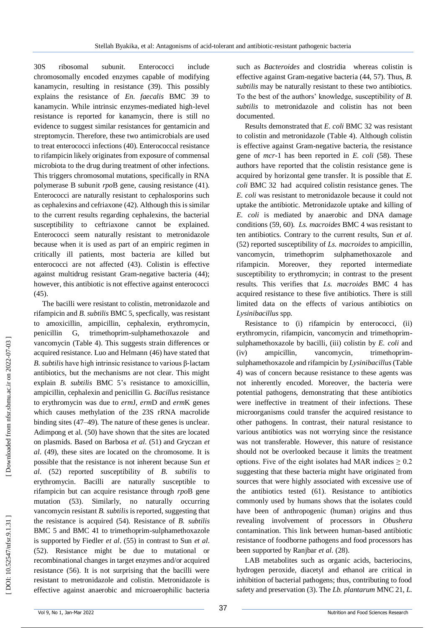30S ribosomal subunit. Enterococci include chromosomally encoded enzymes capable of modifying kanamycin, resulting in resistance (39). This possibly explains the resistance of *En. faecalis* BMC 39 to kanamycin. While intrinsic enzymes -mediated high -level resistance is reported for kanamycin, there is still no evidence to suggest similar resistances for gentamicin and streptomycin. Therefore, these two antimicrobials are used to treat enterococci infections (40). Enterococcal resistance to rifampicin likely originates from exposure of commensal microbiota to the drug during treatment of other infections. This triggers chromosomal mutations, specifically in RNA polymerase B subunit *rpo* B gene, causing resistance (41). Enterococci are naturally resistant to cephalosporins such as cephalexins and cefriaxone (42). Although this is similar to the current results regarding cephalexins, the bacterial susceptibility to ceftriaxone cannot be explained. Enterococci seem naturally resistant to metronidazole because when it is used as part of an empiric regimen in critically ill patients, most bacteria are killed but enterococci are not affected (43). Colistin is effective against multidrug resistant Gram -negative bacteria (44); however, this antibiotic is not effective against enterococci (45).

The bacilli were resistant to colistin, metronidazole and rifampicin and *B. subtilis* BMC 5, specfically, was resistant to amoxicillin, ampicillin, cephalexin, erythromycin, penicillin G, trimethoprim -sulphamethoxazole and vancomycin (Table 4). This suggests strain differences or acquired resistance. Luo and Helmann (46) have stated that *B. subtilis* have high intrinsic resistance to various β ‐lactam antibiotics, but the mechanisms are not clear. This might explain *B. subtilis* BMC 5's resistance to amoxicillin, ampicillin, cephalexin and penicillin G. *Bacillus* resistance to erythromycin was due to *erm*J, *erm*D and *erm* K genes which causes methylation of the 23S rRNA macrolide binding sites (47 –49)*.* The nature of these genes is unclear. Adimpong et al. (50) have shown that the sites are located on plasmids. Based on Barbosa *et al*. (51) and Gryczan *et al*. (49), these sites are located on the chromosome. It is possible that the resistance is not inherent because Sun *et al*. (52) reported susceptibility of *B. subtilis* to erythromycin. Bacilli are naturally susceptible to rifampicin but can acquire resistance through *rpo* B gene mutation (53). Similarly, no naturally occurring vancomycin resistant *B. subtilis* is reported, suggesting that the resistance is acquired (54). Resistance of *B. subtilis* BMC 5 and BMC 41 to trimethoprim -sulphamethoxazole is supported by Fiedler *et al*. (55) in contrast to Sun *et al*. (52). Resistance might be due to mutational or recombinational changes in target enzymes and/or acquired resistance (56). It is not surprising that the bacilli were resistant to metronidazole and colistin. Metronidazole is effective against anaerobic and microaerophilic bacteria

such as *Bacteroides* and clostridia whereas colistin is effective against Gram -negative bacteria (44, 57). Thus, *B. subtilis* may be naturally resistant to these two antibiotics. To the best of the authors' knowledge, susceptibility of *B. subtilis* to metronidazole and colistin has not been documented.

Results demonstrated that *E. coli* BMC 32 was resistant to colistin and metronidazole (Table 4). Although colistin is effective against Gram -negative bacteria, the resistance gene of *mcr* - 1 has been reported in *E. coli* (58). These authors have reported that the colistin resistance gene is acquired by horizontal gene transfer. It is possible that *E. coli* BMC 32 had acquired colistin resistance genes. The *E. coli* was resistant to metronidazole because it could not uptake the antibiotic. Metronidazole uptake and killing of *E. coli* is mediated by anaerobic and DNA damage conditions (59, 60). *Ls. macroides* BMC 4 was resistant to ten antibiotics. Contrary to the current results, Sun *et al*. (52) reported susceptibility of *Ls. macroides* to ampicillin, vancomycin, trimethoprim sulphamethoxazole and rifampicin. Moreover, they reported intermediate susceptibility to erythromycin; in contrast to the present results. This verifies that *Ls. macroides* BMC 4 has acquired resistance to these five antibiotics. There is still limited data on the effects of various antibiotics on *Lysinibacillus* spp.

Resistance to (i) rifampicin by enterococci, (ii) erythromycin, rifampicin, vancomycin and trimethoprim sulphamethoxazole by bacilli, (iii) colistin by *E. coli* and (iv) ampicillin, vancomycin, trimethoprimsulphamethoxazole and rifampicin by *Lysinibacillus*(Table 4) was of concern because resistance to these agents was not inherently encoded. Moreover, the bacteria were potential pathogens, demonstrating that these antibiotics were ineffective in treatment of their infections. These microorganisms could transfer the acquired resistance to other pathogens. In contrast, their natural resistance to various antibiotics was not worrying since the resistance was not transferable. However, this nature of resistance should not be overlooked because it limits the treatment options. Five of the eight isolates had MAR indices  $\geq 0.2$ suggesting that these bacteria might have originated from sources that were highly associated with excessive use of the antibiotics tested (61). Resistance to antibiotics commonly used by humans shows that the isolates could have been of anthropogenic (human) origins and thus revealing involvement of processors in *Obushera* contamination. This link between human -based antibiotic resistance of foodborne pathogens and food processors has been supported by Ranjbar *et al*. (28).

LAB metabolites such as organic acids, bacteriocins, hydrogen peroxide, diacetyl and ethanol are critical in inhibition of bacterial pathogens; thus, contributing to food safety and preservation (3). The *Lb. plantarum* MNC 21, *L.*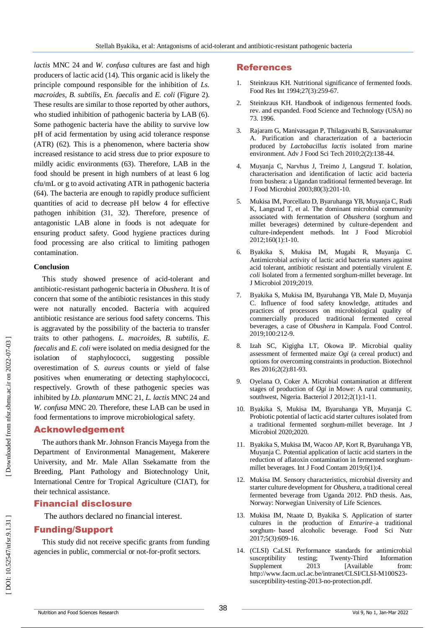*lactis* MNC 24 and *W. confusa* cultures are fast and high producers of lactic acid (14). This organic acid is likely the principle compound responsible for the inhibition of *Ls. macroides*, *B. subtilis, En. faecalis* and *E. coli* (Figure 2). These results are similar to those reported by other authors, who studied inhibition of pathogenic bacteria by LAB (6). Some pathogenic bacteria have the ability to survive low pH of acid fermentation by using acid tolerance response (ATR) (62). This is a phenomenon, where bacteria show increased resistance to acid stress due to prior exposure to mildly acidic environments (63). Therefore, LAB in the food should be present in high numbers of at least 6 log cfu/mL or g to avoid activating ATR in pathogenic bacteria (64). The bacteria are enough to rapidly produce sufficient quantities of acid to decrease pH below 4 for effective pathogen inhibition (31, 32). Therefore, presence of antagonistic LAB alone in foods is not adequate for ensuring product safety. Good hygiene practices during food processing are also critical to limiting pathogen contamination.

## **Conclusion**

This study showed presence of acid -tolerant and antibiotic -resistant pathogenic bacteria in *Obushera*. It is of concern that some of the antibiotic resistances in this study were not naturally encoded. Bacteria with acquired antibiotic resistance are serious food safety concerns. This is aggravated by the possibility of the bacteria to transfer traits to other pathogens. *L. macroides*, *B. subtilis*, *E. faecalis* and *E. coli* were isolated on media designed for the isolation of staphylococci, suggesting possible overestimation of *S. aureus* counts or yield of false positives when enumerating or detecting staphylococci, respectively. Growth of these pathogenic species was inhibited by *Lb. plantarum* MNC 21, *L. lactis* MNC 24 and *W. confusa* MNC 20. Therefore, these LAB can be used in food fermentations to improve microbiological safety.

# Acknowledgement

The authors thank Mr. Johnson Francis Mayega from the Department of Environmental Management, Makerere University, and Mr. Male Allan Ssekamatte from the Breeding, Plant Pathology and Biotechnology Unit, International Centre for Tropical Agriculture (CIAT), for their technical assistance.

# Financial disclosure

The authors declared no financial interest.

# Funding/Support

This study did not receive specific grants from funding agencies in public, commercial or not -for -profit sectors.

# References

- 1. Steinkraus KH. Nutritional significance of fermented foods. Food Res Int 1994;27(3):259 -67.
- $2^{2}$ . Steinkraus KH. Handbook of indigenous fermented foods. rev. and expanded. Food Science and Technology (USA) no 73. 1996.
- 3 . Rajaram G, Manivasagan P, Thilagavathi B, Saravanakumar A. Purification and characterization of a bacteriocin produced by *Lactobacillus lactis* isolated from marine environment. Adv J Food Sci Tech 2010;2(2):138 -44.
- 4 . Muyanja C, Narvhus J, Treimo J, Langsrud T. Isolation, characterisation and identification of lactic acid bacteria from bushera: a Ugandan traditional fermented beverage. Int J Food Microbiol 2003;80(3):201 -10.
- 5 . Mukisa IM, Porcellato D, Byaruhanga YB, Muyanja C, Rudi K, Langsrud T, et al. The dominant microbial community associated with fermentation of *Obushera* (sorghum and millet beverages) determined by culture -dependent and culture -independent methods. Int J Food Microbiol 2012;160(1):1 -10.
- 6 . Byakika S, Mukisa IM, Mugabi R, Muyanja C. Antimicrobial activity of lactic acid bacteria starters against acid tolerant, antibiotic resistant and potentially virulent *E. coli* Isolated from a fermented sorghum -millet beverage. Int J Microbiol 2019;2019.
- 7 . Byakika S, Mukisa IM, Byaruhanga YB, Male D, Muyanja C. Influence of food safety knowledge, attitudes and practices of processors on microbiological quality of commercially produced traditional fermented cereal beverages, a case of *Obushera* in Kampala. Food Control. 2019;100:212 -9.
- 8 . Izah SC, Kigigha LT, Okowa IP. Microbial quality assessment of fermented maize *Ogi* (a cereal product) and options for overcoming constraints in production. Biotechnol Res 2016;2(2):81 -93.
- 9 . Oyelana O, Coker A. Microbial contamination at different stages of production of *Ogi* in Mowe: A rural community, southwest, Nigeria. Bacteriol J 2012;2(1):1 -11.
- 10 . Byakika S, Mukisa IM, Byaruhanga YB, Muyanja C. Probiotic potential of lactic acid starter cultures isolated from a traditional fermented sorghum -millet beverage. Int J Microbiol 2020;2020.
- 11 . Byakika S, Mukisa IM, Wacoo AP, Kort R, Byaruhanga YB, Muyanja C. Potential application of lactic acid starters in the reduction of aflatoxin contamination in fermented sorghum millet beverages. Int J Food Contam 2019;6(1):4.
- 12 . Mukisa IM. Sensory characteristics, microbial diversity and starter culture development for *Obushera*, a traditional cereal fermented beverage from Uganda 2012. PhD thesis. Aas, Norway: Norwegian University of Life Sciences.
- 13 . Mukisa IM, Ntaate D, Byakika S. Application of starter cultures in the production of *Enturire* –a traditional sorghum ‐ based alcoholic beverage. Food Sci Nutr 2017;5(3):609 -16.
- 14 . (CLSI) CaLSI. Performance standards for antimicrobial susceptibility testing; Twenty-Third **Information** Supplement 2013 [Available from: http://www.facm.ucl.ac.be/intranet/CLSI/CLSI-M100S23susceptibility-testing-2013-no-protection.pdf.

Downloaded from nfsr.sbmu.ac.ir on 2022-07-03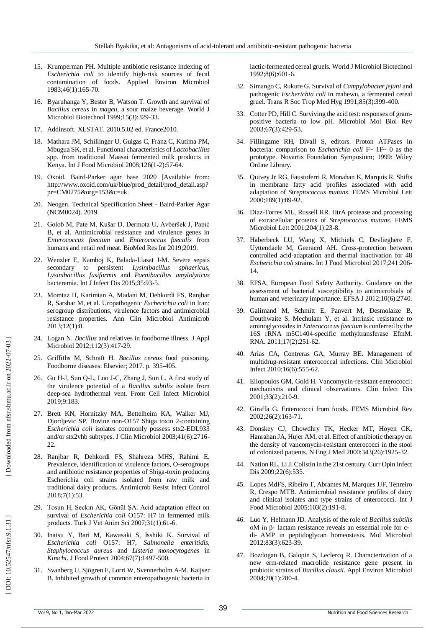- 15 . Krumperman PH. Multiple antibiotic resistance indexing of *Escherichia coli* to identify high -risk sources of fecal contamination of foods. Applied Environ Microbiol 1983;46(1):165 -70.
- 16 . Byaruhanga Y, Bester B, Watson T. Growth and survival of *Bacillus cereus* in *mageu*, a sour maize beverage. World J Microbiol Biotechnol 1999;15(3):329 -33.
- 17 . Addinsoft. XLSTAT. 2010.5.02 ed. France2010.
- 18 . Mathara JM, Schillinger U, Guigas C, Franz C, Kutima PM, Mbugua SK, et al. Functional characteristics of *Lactobacillus* spp. from traditional Maasai fermented milk products in Kenya. Int J Food Microbiol 2008;126(1 -2):57 -64.
- 19 . Oxoid. Baird -Parker agar base 2020 [Available from: http://www.oxoid.com/uk/blue/prod\_detail/prod\_detail.asp? pr=CM0275&org=153&c=uk.
- 20 . Neogen. Technical Specification Sheet Baird -Parker Agar (NCM0024). 2019.
- 21 . Golob M, Pate M, Kušar D, Dermota U, Avberšek J, Papić B, et al. Antimicrobial resistance and virulence genes in *Enterococcus faecium* and *Enterococcus faecalis* from humans and retail red meat. BioMed Res Int 2019;2019.
- 22 . Wenzler E, Kamboj K, Balada -Llasat J -M. Severe sepsis secondary to persistent *Lysinibacillus sphaericus*, *Lysinibacillus fusiformis* and *Paenibacillus amylolyticus* bacteremia. Int J Infect Dis 2015;35:93 -5.
- 23 . Momtaz H, Karimian A, Madani M, Dehkordi FS, Ranjbar R, Sarshar M, et al. Uropathogenic *Escherichia coli* in Iran: serogroup distributions, virulence factors and antimicrobial resistance properties. Ann Clin Microbiol Antimicrob 2013;12(1):8.
- 24 . Logan N. *Bacillus* and relatives in foodborne illness. J Appl Microbiol 2012;112(3):417 -29.
- 25 . Griffiths M, Schraft H. *Bacillus cereus* food poisoning. Foodborne diseases: Elsevier; 2017. p. 395 -405.
- 26 . Gu H -J, Sun Q -L, Luo J -C, Zhang J, Sun L. A first study of the virulence potential of a *Bacillus subtilis* isolate from deep -sea hydrothermal vent. Front Cell Infect Microbiol 2019;9:183.
- 27 . Brett KN, Hornitzky MA, Bettelheim KA, Walker MJ, Djordjevic SP. Bovine non -O157 Shiga toxin 2 -containing *Escherichia coli* isolates commonly possess stx2 -EDL933 and/or stx2vhb subtypes. J Clin Microbiol 2003;41(6):2716 - 22.
- 28 . Ranjbar R, Dehkordi FS, Shahreza MHS, Rahimi E. Prevalence, identification of virulence factors, O -serogroups and antibiotic resistance properties of Shiga -toxin producing Escherichia coli strains isolated from raw milk and traditional dairy products. Antimicrob Resist Infect Control 2018;7(1):53.
- 29 . Tosun H, Seckin AK, Gönül ŞA. Acid adaptation effect on survival of *Escherichia coli* O157: H7 in fermented milk products. Turk J Vet Anim Sci 2007;31(1):61 -6.
- 30 . Inatsu Y, Bari M, Kawasaki S, Isshiki K. Survival of *Escherichia coli* O157: H7, *Salmonella enteritidis*, *Staphylococcus aureus* and *Listeria monocytogenes* in *Kimchi*. J Food Protect 2004;67(7):1497 -500.
- 31 . Svanberg U, Sjögren E, Lorri W, Svennerholm A -M, Kaijser B. Inhibited growth of common enteropathogenic bacteria in

lactic -fermented cereal gruels. World J Microbiol Biotechnol 1992;8(6):601 -6.

- 32 . Simango C, Rukure G. Survival of *Campylobacter jejuni* and pathogenic *Escherichia coli* in mahewu, a fermented cereal gruel. Trans R Soc Trop Med Hyg 1991;85(3):399 -400.
- 33 . Cotter PD, Hill C. Surviving the acid test: responses of gram positive bacteria to low pH. Microbiol Mol Biol Rev 2003;67(3):429 -53.
- 34 . Fillingame RH, Divall S, editors. Proton ATPases in bacteria: comparison to *Escherichia coli* F~ 1F~ 0 as the prototype. Novartis Foundation Symposium; 1999: Wiley Online Library.
- 35 . Quivey Jr RG, Faustoferri R, Monahan K, Marquis R. Shifts in membrane fatty acid profiles associated with acid adaptation of *Streptococcus mutans*. FEMS Microbiol Lett 2000;189(1):89 -92.
- 36 . Diaz -Torres ML, Russell RR. HtrA protease and processing of extracellular proteins of *Streptococcus mutans*. FEMS Microbiol Lett 2001;204(1):23 -8.
- 37 . Haberbeck LU, Wang X, Michiels C, Devlieghere F, Uyttendaele M, Geeraerd AH. Cross -protection between controlled acid -adaptation and thermal inactivation for 48 *Escherichi a coli* strains. Int J Food Microbiol 2017;241:206 - 14.
- 38 . EFSA, European Food Safety Authority. Guidance on the assessment of bacterial susceptibility to antimicrobials of human and veterinary importance. EFSA J 2012;10(6):2740.
- 39 . Galimand M, Schmitt E, Panvert M, Desmolaize B, Douthwaite S, Mechulam Y, et al. Intrinsic resistance to aminoglycosides in *Enterococcus faecium* is conferred by the 16S rRNA m5C1404 -specific methyltransferase EfmM. RNA. 2011;17(2):251 -62.
- 40 . Arias CA, Contreras GA, Murray BE. Management of multidrug -resistant enterococcal infections. Clin Microbiol Infect 2010;16(6):555 -62.
- 41 . Eliopoulos GM, Gold H. Vancomycin -resistant enterococci: mechanisms and clinical observations. Clin Infect Dis 2001;33(2):210 -9.
- 42 . Giraffa G. Enterococci from foods. FEMS Microbiol Rev 2002;26(2):163 -71.
- 43 . Donskey CJ, Chowdhry TK, Hecker MT, Hoyen CK, Hanrahan JA, Hujer AM, et al. Effect of antibiotic therapy on the density of vancomycin -resistant enterococci in the stool of colonized patients. N Eng J Med 2000;343(26):1925 - 32.
- 44 . Nation RL, Li J. Colistin in the 21st century. Curr Opin Infect Dis 2009;22(6):535.
- 45 . Lopes MdFS, Ribeiro T, Abrantes M, Marques JJF, Tenreiro R, Crespo MTB. Antimicrobial resistance profiles of dairy and clinical isolates and type strains of enterococci. Int J Food Microbiol 2005;103(2):191 -8.
- 46 . Luo Y, Helmann JD. Analysis of the role of *Bacillus subtilis* σM in β ‐ lactam resistance reveals an essential role for c ‐ di ‐ AMP in peptidoglycan homeostasis. Mol Microbiol 2012;83(3):623 -39.
- 47 . Bozdogan B, Galopin S, Leclercq R. Characterization of a new erm -related macrolide resistance gene present in probiotic strains of *Bacillus clausii*. Appl Environ Microbiol 2004;70(1):280 -4.